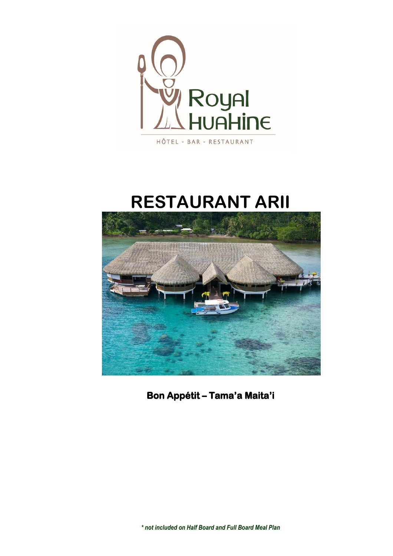

# **RESTAURANT ARII**



Bon Appétit - Tama'a Maita'i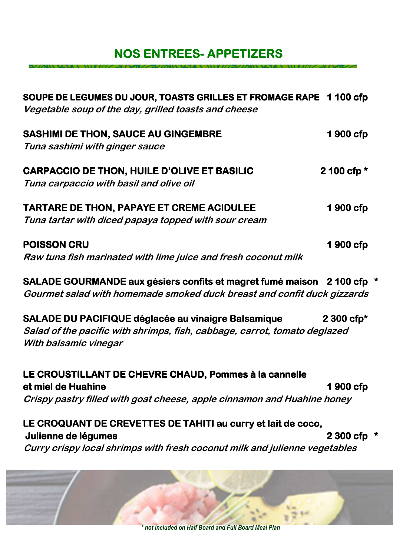## **NOS ENTREES- APPETIZERS**

| SOUPE DE LEGUMES DU JOUR, TOASTS GRILLES ET FROMAGE RAPE 1 100 cfp<br>Vegetable soup of the day, grilled toasts and cheese                                        |                         |
|-------------------------------------------------------------------------------------------------------------------------------------------------------------------|-------------------------|
| <b>SASHIMI DE THON, SAUCE AU GINGEMBRE</b><br>Tuna sashimi with ginger sauce                                                                                      | 1900 cfp                |
| <b>CARPACCIO DE THON, HUILE D'OLIVE ET BASILIC</b><br>Tuna carpaccio with basil and olive oil                                                                     | 2 100 cfp $*$           |
| TARTARE DE THON, PAPAYE ET CREME ACIDULEE<br>Tuna tartar with diced papaya topped with sour cream                                                                 | 1900 cfp                |
| <b>POISSON CRU</b><br>Raw tuna fish marinated with lime juice and fresh coconut milk                                                                              | 1900 cfp                |
| SALADE GOURMANDE aux gésiers confits et magret fumé maison 2 100 cfp<br>Gourmet salad with homemade smoked duck breast and confit duck gizzards                   |                         |
| SALADE DU PACIFIQUE déglacée au vinaigre Balsamique<br>Salad of the pacific with shrimps, fish, cabbage, carrot, tomato deglazed<br>With balsamic vinegar         | $2300$ cfp <sup>*</sup> |
| LE CROUSTILLANT DE CHEVRE CHAUD, Pommes à la cannelle<br>et miel de Huahine<br>Crispy pastry filled with goat cheese, apple cinnamon and Huahine honey            | 1 900 cfp               |
| LE CROQUANT DE CREVETTES DE TAHITI au curry et lait de coco,<br>Julienne de légumes<br>Curry crispy local shrimps with fresh coconut milk and julienne vegetables | 2 300 cfp               |



を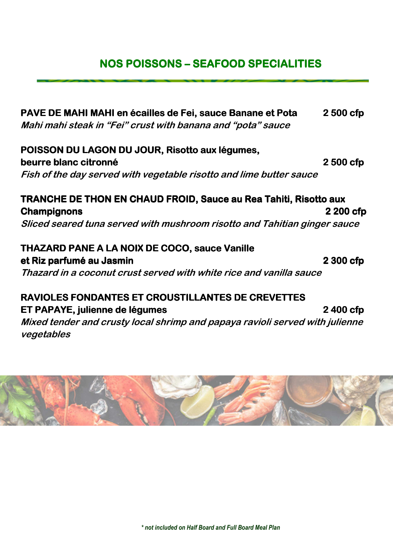### **NOS POISSONS – SEAFOOD SPECIALITIES**

**PAVE DE MAHI MAHI en écailles de Fei, sauce Banane et Pota 2500 cfp Mahi mahi steak in "Fei" crust with banana and "pota" sauce** 

**POISSON DU LAGON DU JOUR, Risotto aux légumes, beurre blanc citronné comme comme de la comme de la comme de la comme de la comme de la comme de la comme de la comme de la comme de la comme de la comme de la comme de la comme de la comme de la comme de la comme de la c Fish of the day served with vegetable risotto and lime butter sauce** 

## **TRANCHE DE THON EN CHAUD FROID, Sauce au Rea Tahiti, Risotto aux Champignons Champignons 2200 cfp**

**Sliced seared tuna served with mushroom risotto and Tahitian ginger sauce** 

**THAZARD PANE A LA NOIX DE COCO, sauce Vanille et Riz parfumé au Jasmin 2300 cfp 12300 cfp Thazard in a coconut crust served with white rice and vanilla sauce** 

#### **RAVIOLES FONDANTES ET CROUSTILLANTES DE CREVETTES ET PAPAYE, julienne de légumes**<br> **12400 cfpc**

**Mixed tender and crusty local shrimp and papaya ravioli served with julienne vegetables** 

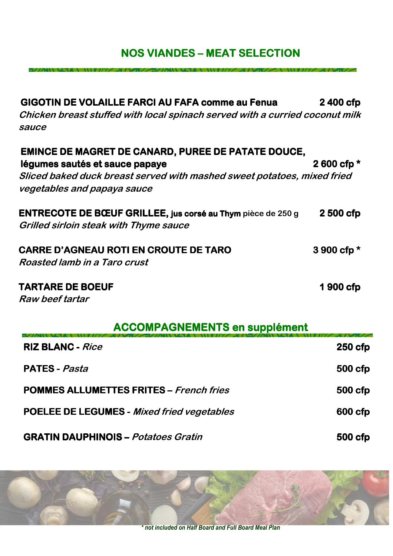## **NOS VIANDES - MEAT SELECTION**

| <b>GIGOTIN DE VOLAILLE FARCI AU FAFA comme au Fenua</b>                      | 2400 cfp      |
|------------------------------------------------------------------------------|---------------|
| Chicken breast stuffed with local spinach served with a curried coconut milk |               |
| sauce                                                                        |               |
| <b>EMINCE DE MAGRET DE CANARD, PUREE DE PATATE DOUCE,</b>                    |               |
| légumes sautés et sauce papaye                                               | 2 600 cfp $*$ |
| Sliced baked duck breast served with mashed sweet potatoes, mixed fried      |               |
| vegetables and papaya sauce                                                  |               |
| <b>ENTRECOTE DE BŒUF GRILLEE, jus corsé au Thym pièce de 250 g</b>           | 2 500 cfp     |
| <b>Grilled sirloin steak with Thyme sauce</b>                                |               |
| <b>CARRE D'AGNEAU ROTI EN CROUTE DE TARO</b>                                 | 3 900 cfp $*$ |
| Roasted lamb in a Taro crust                                                 |               |
| <b>TARTARE DE BOEUF</b>                                                      | 1 900 cfp     |
| Raw beef tartar                                                              |               |

| <b>ACCOMPAGNEMENTS en supplément</b> |  |
|--------------------------------------|--|
|--------------------------------------|--|

| <b>RIZ BLANC - Rice</b>                           | $250$ cfp      |
|---------------------------------------------------|----------------|
| <b>PATES</b> - <i>Pasta</i>                       | <b>500 cfp</b> |
| <b>POMMES ALLUMETTES FRITES - French fries</b>    | 500 cfp        |
| <b>POELEE DE LEGUMES - Mixed fried vegetables</b> | 600 cfp        |
| <b>GRATIN DAUPHINOIS – Potatoes Gratin</b>        | 500 cfp        |



\* not included on Half Board and Full Board Meal Plan